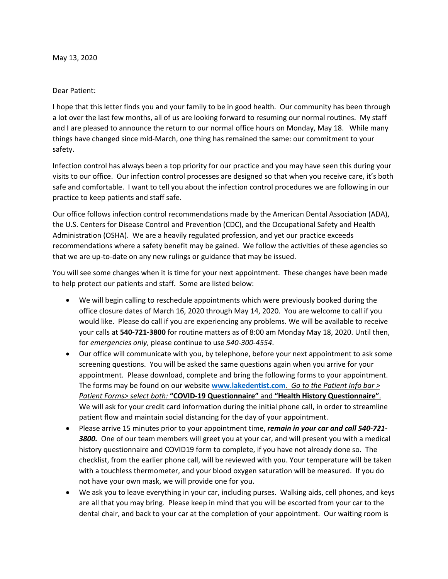## Dear Patient:

I hope that this letter finds you and your family to be in good health. Our community has been through a lot over the last few months, all of us are looking forward to resuming our normal routines. My staff and I are pleased to announce the return to our normal office hours on Monday, May 18. While many things have changed since mid-March, one thing has remained the same: our commitment to your safety.

Infection control has always been a top priority for our practice and you may have seen this during your visits to our office. Our infection control processes are designed so that when you receive care, it's both safe and comfortable. I want to tell you about the infection control procedures we are following in our practice to keep patients and staff safe.

Our office follows infection control recommendations made by the American Dental Association (ADA), the U.S. Centers for Disease Control and Prevention (CDC), and the Occupational Safety and Health Administration (OSHA). We are a heavily regulated profession, and yet our practice exceeds recommendations where a safety benefit may be gained. We follow the activities of these agencies so that we are up-to-date on any new rulings or guidance that may be issued.

You will see some changes when it is time for your next appointment. These changes have been made to help protect our patients and staff. Some are listed below:

- We will begin calling to reschedule appointments which were previously booked during the office closure dates of March 16, 2020 through May 14, 2020. You are welcome to call if you would like. Please do call if you are experiencing any problems. We will be available to receive your calls at **540-721-3800** for routine matters as of 8:00 am Monday May 18, 2020. Until then, for *emergencies only*, please continue to use *540-300-4554*.
- Our office will communicate with you, by telephone, before your next appointment to ask some screening questions. You will be asked the same questions again when you arrive for your appointment. Please download, complete and bring the following forms to your appointment. The forms may be found on our website **[www.lakedentist.com](http://www.lakedentist.com/)***. Go to the Patient Info bar > Patient Forms> select both:* **"COVID-19 Questionnaire"** and **"Health History Questionnaire"**. We will ask for your credit card information during the initial phone call, in order to streamline patient flow and maintain social distancing for the day of your appointment.
- Please arrive 15 minutes prior to your appointment time, *remain in your car and call 540-721- 3800.* One of our team members will greet you at your car, and will present you with a medical history questionnaire and COVID19 form to complete, if you have not already done so. The checklist, from the earlier phone call, will be reviewed with you. Your temperature will be taken with a touchless thermometer, and your blood oxygen saturation will be measured. If you do not have your own mask, we will provide one for you.
- We ask you to leave everything in your car, including purses. Walking aids, cell phones, and keys are all that you may bring. Please keep in mind that you will be escorted from your car to the dental chair, and back to your car at the completion of your appointment. Our waiting room is